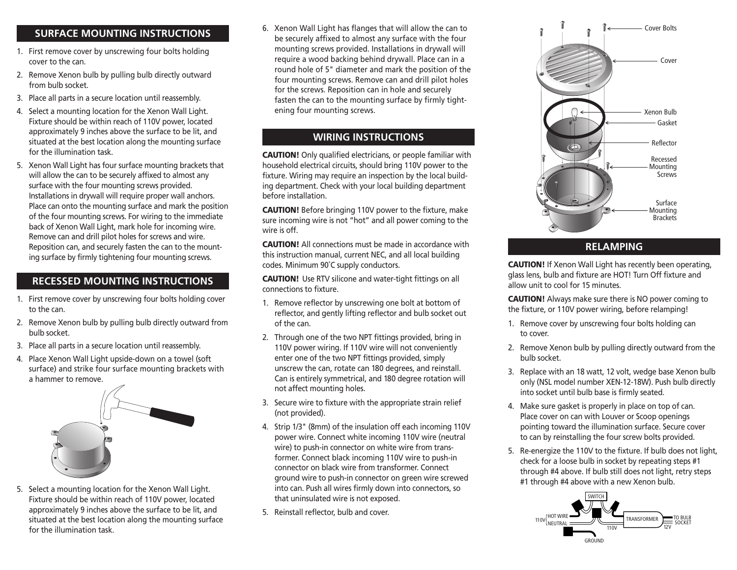### **SURFACE MOUNTING INSTRUCTIONS**

- 1. First remove cover by unscrewing four bolts holding cover to the can.
- 2. Remove Xenon bulb by pulling bulb directly outward from bulb socket.
- 3. Place all parts in a secure location until reassembly.
- 4. Select a mounting location for the Xenon Wall Light. Fixture should be within reach of 110V power, located approximately 9 inches above the surface to be lit, and situated at the best location along the mounting surface for the illumination task.
- 5. Xenon Wall Light has four surface mounting brackets that will allow the can to be securely affixed to almost any surface with the four mounting screws provided. Installations in drywall will require proper wall anchors. Place can onto the mounting surface and mark the position of the four mounting screws. For wiring to the immediate back of Xenon Wall Light, mark hole for incoming wire. Remove can and drill pilot holes for screws and wire. Reposition can, and securely fasten the can to the mounting surface by firmly tightening four mounting screws.

# **RECESSED MOUNTING INSTRUCTIONS**

- 1. First remove cover by unscrewing four bolts holding cover to the can.
- 2. Remove Xenon bulb by pulling bulb directly outward from bulb socket.
- 3. Place all parts in a secure location until reassembly.
- 4. Place Xenon Wall Light upside-down on a towel (soft surface) and strike four surface mounting brackets with a hammer to remove.



5. Select a mounting location for the Xenon Wall Light. Fixture should be within reach of 110V power, located approximately 9 inches above the surface to be lit, and situated at the best location along the mounting surface for the illumination task.

6. Xenon Wall Light has flanges that will allow the can to be securely affixed to almost any surface with the four mounting screws provided. Installations in drywall will require a wood backing behind drywall. Place can in a round hole of 5" diameter and mark the position of the four mounting screws. Remove can and drill pilot holes for the screws. Reposition can in hole and securely fasten the can to the mounting surface by firmly tightening four mounting screws.

## **WIRING INSTRUCTIONS**

**CAUTION!** Only qualified electricians, or people familiar with household electrical circuits, should bring 110V power to the fixture. Wiring may require an inspection by the local building department. Check with your local building department before installation.

**CAUTION!** Before bringing 110V power to the fixture, make sure incoming wire is not "hot" and all power coming to the wire is off.

**CAUTION!** All connections must be made in accordance with this instruction manual, current NEC, and all local building codes. Minimum 90˚C supply conductors.

**CAUTION!** Use RTV silicone and water-tight fittings on all connections to fixture.

- 1. Remove reflector by unscrewing one bolt at bottom of reflector, and gently lifting reflector and bulb socket out of the can.
- 2. Through one of the two NPT fittings provided, bring in 110V power wiring. If 110V wire will not conveniently enter one of the two NPT fittings provided, simply unscrew the can, rotate can 180 degrees, and reinstall. Can is entirely symmetrical, and 180 degree rotation will not affect mounting holes.
- 3. Secure wire to fixture with the appropriate strain relief (not provided).
- 4. Strip 1/3" (8mm) of the insulation off each incoming 110V power wire. Connect white incoming 110V wire (neutral wire) to push-in connector on white wire from transformer. Connect black incoming 110V wire to push-in connector on black wire from transformer. Connect ground wire to push-in connector on green wire screwed into can. Push all wires firmly down into connectors, so that uninsulated wire is not exposed.
- 5. Reinstall reflector, bulb and cover.



### **RELAMPING**

**CAUTION!** If Xenon Wall Light has recently been operating, glass lens, bulb and fixture are HOT! Turn Off fixture and allow unit to cool for 15 minutes.

**CAUTION!** Always make sure there is NO power coming to the fixture, or 110V power wiring, before relamping!

- 1. Remove cover by unscrewing four bolts holding can to cover.
- 2. Remove Xenon bulb by pulling directly outward from the bulb socket.
- 3. Replace with an 18 watt, 12 volt, wedge base Xenon bulb only (NSL model number XEN-12-18W). Push bulb directly into socket until bulb base is firmly seated.
- 4. Make sure gasket is properly in place on top of can. Place cover on can with Louver or Scoop openings pointing toward the illumination surface. Secure cover to can by reinstalling the four screw bolts provided.
- 5. Re-energize the 110V to the fixture. If bulb does not light, check for a loose bulb in socket by repeating steps #1 through #4 above. If bulb still does not light, retry steps #1 through #4 above with a new Xenon bulb.